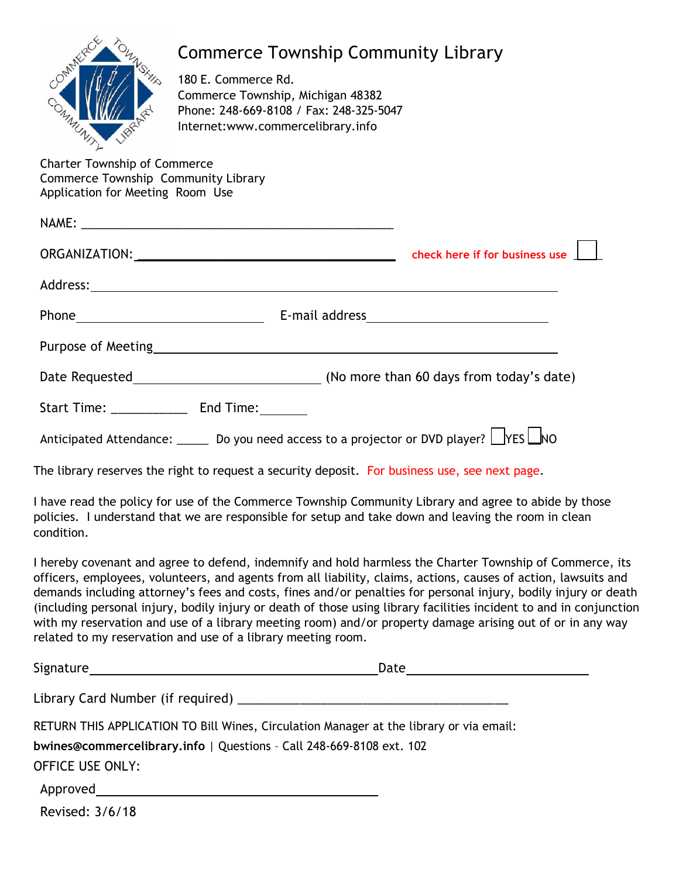| 188                                                                                                            | <b>Commerce Township Community Library</b><br>180 E. Commerce Rd.<br>Commerce Township, Michigan 48382<br>Phone: 248-669-8108 / Fax: 248-325-5047<br>Internet:www.commercelibrary.info |  |  |  |  |
|----------------------------------------------------------------------------------------------------------------|----------------------------------------------------------------------------------------------------------------------------------------------------------------------------------------|--|--|--|--|
| <b>Charter Township of Commerce</b><br>Commerce Township Community Library<br>Application for Meeting Room Use |                                                                                                                                                                                        |  |  |  |  |
|                                                                                                                |                                                                                                                                                                                        |  |  |  |  |
|                                                                                                                |                                                                                                                                                                                        |  |  |  |  |
|                                                                                                                |                                                                                                                                                                                        |  |  |  |  |
|                                                                                                                |                                                                                                                                                                                        |  |  |  |  |
|                                                                                                                |                                                                                                                                                                                        |  |  |  |  |
|                                                                                                                |                                                                                                                                                                                        |  |  |  |  |
|                                                                                                                |                                                                                                                                                                                        |  |  |  |  |
| Anticipated Attendance: ______ Do you need access to a projector or DVD player? LYES LNO                       |                                                                                                                                                                                        |  |  |  |  |
| The library reserves the right to request a security deposit. For business use, see next page.                 |                                                                                                                                                                                        |  |  |  |  |

I have read the policy for use of the Commerce Township Community Library and agree to abide by those policies. I understand that we are responsible for setup and take down and leaving the room in clean condition.

I hereby covenant and agree to defend, indemnify and hold harmless the Charter Township of Commerce, its officers, employees, volunteers, and agents from all liability, claims, actions, causes of action, lawsuits and demands including attorney's fees and costs, fines and/or penalties for personal injury, bodily injury or death (including personal injury, bodily injury or death of those using library facilities incident to and in conjunction with my reservation and use of a library meeting room) and/or property damage arising out of or in any way related to my reservation and use of a library meeting room.

|                                                                      | Date <u>________________</u>                                                            |  |
|----------------------------------------------------------------------|-----------------------------------------------------------------------------------------|--|
|                                                                      |                                                                                         |  |
|                                                                      | RETURN THIS APPLICATION TO Bill Wines, Circulation Manager at the library or via email: |  |
| bwines@commercelibrary.info   Questions - Call 248-669-8108 ext. 102 |                                                                                         |  |
| <b>OFFICE USE ONLY:</b>                                              |                                                                                         |  |
|                                                                      |                                                                                         |  |
|                                                                      |                                                                                         |  |

Revised: 3/6/18